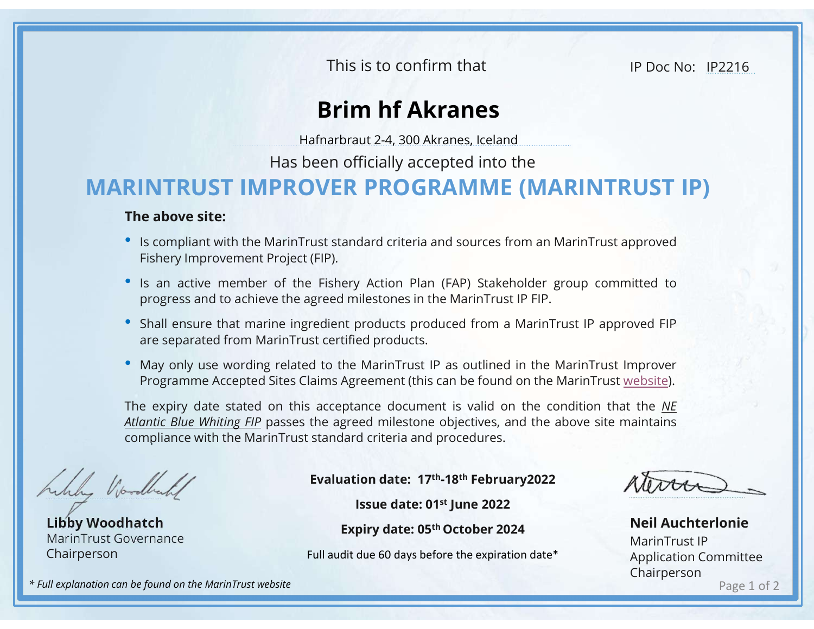This is to confirm that

IP Doc No: IP2216

## Brim hf Akranes

Hafnarbraut 2-4, 300 Akranes, Iceland

Has been officially accepted into the

## MARINTRUST IMPROVER PROGRAMME (MARINTRUST IP)

## The above site:

- 
- IS an active member of the Fishery Action Plan (FAP) Stakeholder group committed to progress and to achieve the agreed milestones in the MarinTrust approved<br>
 Is an active member of the Fishery Action Plan (FAP) Stakeho This is to confirm that<br> **Brim hf Akranes**<br>
Hafnarbraut 2-4, 300 Akranes, Iceland<br>
Has been officially accepted into the<br> **INTRUST IMPROVER PROGRAMME (MARINTRU**<br> **Exable to above site:**<br>
Is compliant with the MarinTrust st **• In active member of the Fishery Action Plan (FAP) Stakeholder group committed to the FINTRUST IMPROVER PROGRAMME (MARINTRUST IP)<br>The above site:<br>• Is compliant with the MarinTrust standard criteria and sources from an M** This is to confirm that<br> **Brim hf Akranes**<br>
Hafnarbraut 2-4, 300 Akranes, Iceland<br>
Has been officially accepted into the<br> **INTRUST IMPROVER PROGRAMME (MARINTRUST IP)**<br>
e above site:<br>
Is compliant with the MarinTrust standa
- 
- FRIEL SUPPROVER PROGRAMME (MARINTRUST IP)<br> **Brim hf Akranes**<br>
Hafnarbraut 2-4, 300 Akranes, Iceland<br>
Has been officially accepted into the<br> **RINTRUST IMPROVER PROGRAMME (MARINTRUST IP)**<br>
The above site:<br>
 Is compliant wit **Brim hf Akranes**<br>
Hafnarbraut 2-4, 300 Akranes, Iceland<br>
Has been officially accepted into the<br> **INTRUST IMPROVER PROGRAMME (MARINTRUST IP)**<br> **e above site:**<br>
Is compliant with the MarinTrust standard criteria and source

**• May only user wording related to the MarinTrust Several mission of Ficially accepted into the RINTRUST IP)<br>The above site: "<br>
• Is compliant with the MarinTrust standard criteria and sources from an MarinTrust approved** Hafnarbraut 2-4, 300 Akranes, Iceland<br> **INTRUST IMPROVER PROGRAMME (MARINTRUST IP)**<br> **E above site:**<br>
Is compliant with the MarinTrust standard criteria and sources from an MarinTrust approved<br>
Fishery Improvement Project Has been officially accepted into the<br> **RINTRUST IP)**<br>
The above site:<br>
• Is compliant with the MarinTrust standard criteria and sources from an MarinTrust approved<br>
Fishery Improvement Project (FIP).<br>
• Is an active memb THE TRIMTRUST IMPROVER PROGRAMME (MARINTRUST IP)<br>
The above site: Scompliant with the MarinTrust standard criteria and sources from an MarinTrust approved<br>
Fishery Improvement Project (FIP).<br>
• Is an active member of the **RINTRUST IMPROVER PROGRAMME (MARINTRUST IP)**<br>
The above site:<br>
• Is compliant with the MarinTrust standard criteria and sources from an MarinTrust approved<br>
Fishery Improvement Project (FIP).<br>
• Is an active member of th Maximized photons and solid to the Maximization of the Maximized photons in the MaximiTrust IP FIP.<br>
products produced from a MarinTrust IP approved FIP<br>
ed products.<br>
MarinTrust IP as outlined in the MarinTrust Improver<br> ery Action Plan (FAP) Stakeholder group committed to<br>
dimilestones in the MarinTrust IP FIP.<br>
the products produced from a MarinTrust IP approved FIP<br>
tified products.<br>
the MarinTrust IP as outlined in the MarinTrust Impro

Libby Woodhatch MarinTrust Governance Chairperson

Evaluation date: 17th-18th February2022

Full audit due 60 days before the expiration date\*

Page 1 of 2 Neil Auchterlonie MarinTrust IP Application Committee Chairperson

\* Full explanation can be found on the MarinTrust website